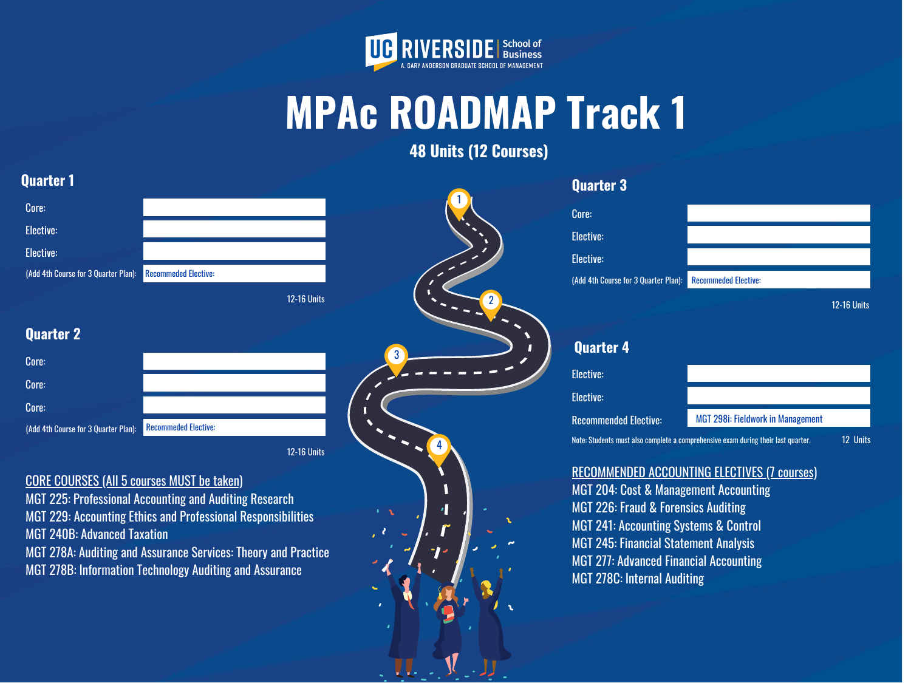2

3

4



## **MPAc ROADMAP Track 1 48 Units (12 Courses)**

1

### **Quarter 1**

| <b>Quarter 2</b> |
|------------------|
|------------------|

12-16 Units

#### **Quarter 3**

12-16 Units

## **Quarter 4**

MGT 204: Cost & Management Accounting MGT 226: Fraud & Forensics Auditing MGT 241: Accounting Systems & Control MGT 245: Financial Statement Analysis MGT 277: Advanced Financial Accounting MGT 278C: Internal Auditing

| Core:                                |                             |
|--------------------------------------|-----------------------------|
| Elective:                            |                             |
| Elective:                            |                             |
| (Add 4th Course for 3 Quarter Plan): | <b>Recommeded Elective:</b> |
|                                      | <b>12-16 Units</b>          |

| Core:                                |                             |
|--------------------------------------|-----------------------------|
| Core:                                |                             |
| Core:                                |                             |
| (Add 4th Course for 3 Quarter Plan): | <b>Recommeded Elective:</b> |

#### CORE COURSES (All 5 courses MUST be taken)

| Core:                                       |                             |
|---------------------------------------------|-----------------------------|
| <b>Elective:</b>                            |                             |
| <b>Elective:</b>                            |                             |
| <b>(Add 4th Course for 3 Quarter Plan):</b> | <b>Recommeded Elective:</b> |
|                                             |                             |

MGT 225: Professional Accounting and Auditing Research



#### RECOMMENDED ACCOUNTING ELECTIVES (7 courses)

MGT 229: Accounting Ethics and Professional Responsibilities MGT 240B: Advanced Taxation

MGT 278A: Auditing and Assurance Services: Theory and Practice

MGT 278B: Information Technology Auditing and Assurance